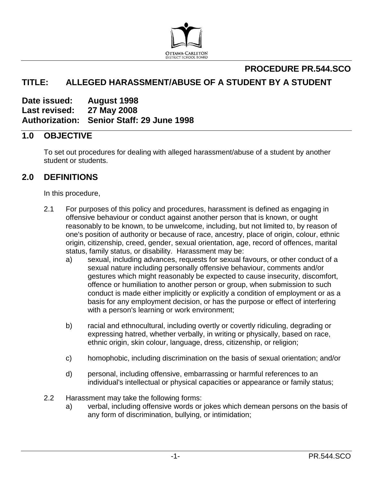

# **PROCEDURE PR.544.SCO TITLE: ALLEGED HARASSMENT/ABUSE OF A STUDENT BY A STUDENT**

**Date issued: August 1998 Last revised: 27 May 2008 Authorization: Senior Staff: 29 June 1998**

### **1.0 OBJECTIVE**

To set out procedures for dealing with alleged harassment/abuse of a student by another student or students.

## **2.0 DEFINITIONS**

In this procedure,

- 2.1 For purposes of this policy and procedures, harassment is defined as engaging in offensive behaviour or conduct against another person that is known, or ought reasonably to be known, to be unwelcome, including, but not limited to, by reason of one's position of authority or because of race, ancestry, place of origin, colour, ethnic origin, citizenship, creed, gender, sexual orientation, age, record of offences, marital status, family status, or disability. Harassment may be:
	- a) sexual, including advances, requests for sexual favours, or other conduct of a sexual nature including personally offensive behaviour, comments and/or gestures which might reasonably be expected to cause insecurity, discomfort, offence or humiliation to another person or group, when submission to such conduct is made either implicitly or explicitly a condition of employment or as a basis for any employment decision, or has the purpose or effect of interfering with a person's learning or work environment;
	- b) racial and ethnocultural, including overtly or covertly ridiculing, degrading or expressing hatred, whether verbally, in writing or physically, based on race, ethnic origin, skin colour, language, dress, citizenship, or religion;
	- c) homophobic, including discrimination on the basis of sexual orientation; and/or
	- d) personal, including offensive, embarrassing or harmful references to an individual's intellectual or physical capacities or appearance or family status;
- 2.2 Harassment may take the following forms:
	- a) verbal, including offensive words or jokes which demean persons on the basis of any form of discrimination, bullying, or intimidation;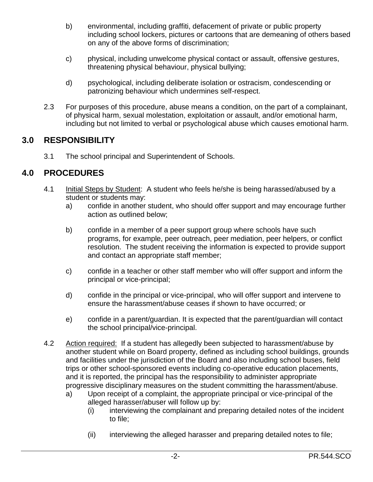- b) environmental, including graffiti, defacement of private or public property including school lockers, pictures or cartoons that are demeaning of others based on any of the above forms of discrimination;
- c) physical, including unwelcome physical contact or assault, offensive gestures, threatening physical behaviour, physical bullying;
- d) psychological, including deliberate isolation or ostracism, condescending or patronizing behaviour which undermines self-respect.
- 2.3 For purposes of this procedure, abuse means a condition, on the part of a complainant, of physical harm, sexual molestation, exploitation or assault, and/or emotional harm, including but not limited to verbal or psychological abuse which causes emotional harm.

# **3.0 RESPONSIBILITY**

3.1 The school principal and Superintendent of Schools.

## **4.0 PROCEDURES**

- 4.1 Initial Steps by Student: A student who feels he/she is being harassed/abused by a student or students may:
	- a) confide in another student, who should offer support and may encourage further action as outlined below;
	- b) confide in a member of a peer support group where schools have such programs, for example, peer outreach, peer mediation, peer helpers, or conflict resolution. The student receiving the information is expected to provide support and contact an appropriate staff member;
	- c) confide in a teacher or other staff member who will offer support and inform the principal or vice-principal;
	- d) confide in the principal or vice-principal, who will offer support and intervene to ensure the harassment/abuse ceases if shown to have occurred; or
	- e) confide in a parent/guardian. It is expected that the parent/guardian will contact the school principal/vice-principal.
- 4.2 Action required: If a student has allegedly been subjected to harassment/abuse by another student while on Board property, defined as including school buildings, grounds and facilities under the jurisdiction of the Board and also including school buses, field trips or other school-sponsored events including co-operative education placements, and it is reported, the principal has the responsibility to administer appropriate progressive disciplinary measures on the student committing the harassment/abuse.
	- a) Upon receipt of a complaint, the appropriate principal or vice-principal of the alleged harasser/abuser will follow up by:
		- (i) interviewing the complainant and preparing detailed notes of the incident to file;
		- (ii) interviewing the alleged harasser and preparing detailed notes to file;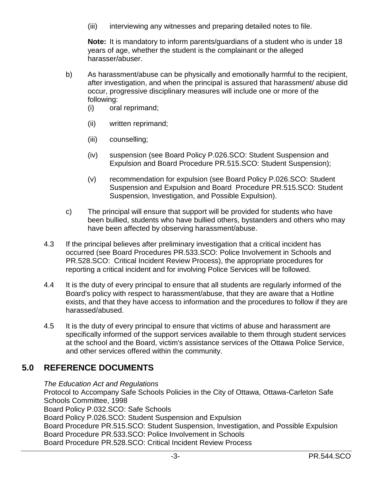(iii) interviewing any witnesses and preparing detailed notes to file.

**Note:** It is mandatory to inform parents/guardians of a student who is under 18 years of age, whether the student is the complainant or the alleged harasser/abuser.

- b) As harassment/abuse can be physically and emotionally harmful to the recipient, after investigation, and when the principal is assured that harassment/ abuse did occur, progressive disciplinary measures will include one or more of the following:
	- (i) oral reprimand;
	- (ii) written reprimand;
	- (iii) counselling;
	- (iv) suspension (see Board Policy P.026.SCO: Student Suspension and Expulsion and Board Procedure PR.515.SCO: Student Suspension);
	- (v) recommendation for expulsion (see Board Policy P.026.SCO: Student Suspension and Expulsion and Board Procedure PR.515.SCO: Student Suspension, Investigation, and Possible Expulsion).
- c) The principal will ensure that support will be provided for students who have been bullied, students who have bullied others, bystanders and others who may have been affected by observing harassment/abuse.
- 4.3 If the principal believes after preliminary investigation that a critical incident has occurred (see Board Procedures PR.533.SCO: Police Involvement in Schools and PR.528.SCO: Critical Incident Review Process), the appropriate procedures for reporting a critical incident and for involving Police Services will be followed.
- 4.4 It is the duty of every principal to ensure that all students are regularly informed of the Board's policy with respect to harassment/abuse, that they are aware that a Hotline exists, and that they have access to information and the procedures to follow if they are harassed/abused.
- 4.5 It is the duty of every principal to ensure that victims of abuse and harassment are specifically informed of the support services available to them through student services at the school and the Board, victim's assistance services of the Ottawa Police Service, and other services offered within the community.

### **5.0 REFERENCE DOCUMENTS**

*The Education Act and Regulations*

Protocol to Accompany Safe Schools Policies in the City of Ottawa, Ottawa-Carleton Safe Schools Committee, 1998 Board Policy P.032.SCO: Safe Schools Board Policy P.026.SCO: Student Suspension and Expulsion Board Procedure PR.515.SCO: Student Suspension, Investigation, and Possible Expulsion Board Procedure PR.533.SCO: Police Involvement in Schools Board Procedure PR.528.SCO: Critical Incident Review Process